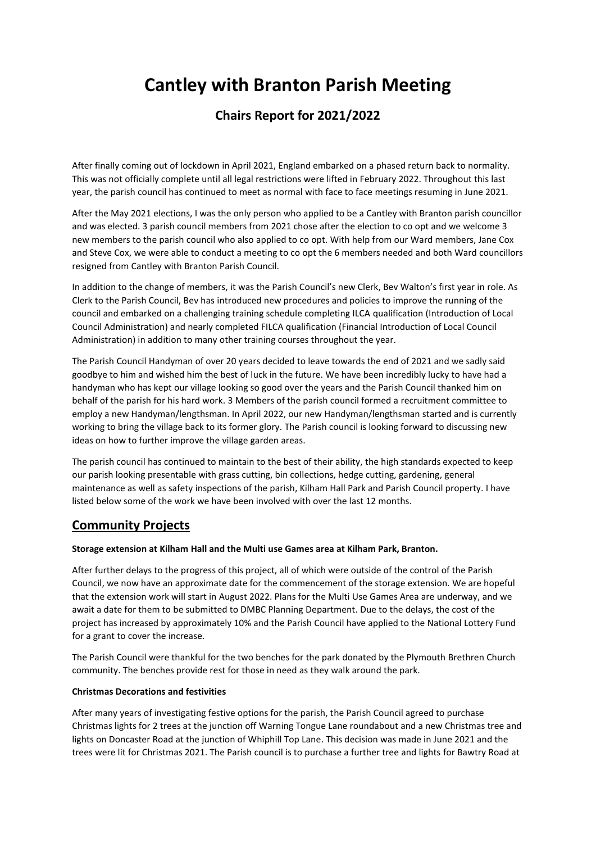# **Cantley with Branton Parish Meeting**

## **Chairs Report for 2021/2022**

After finally coming out of lockdown in April 2021, England embarked on a phased return back to normality. This was not officially complete until all legal restrictions were lifted in February 2022. Throughout this last year, the parish council has continued to meet as normal with face to face meetings resuming in June 2021.

After the May 2021 elections, I was the only person who applied to be a Cantley with Branton parish councillor and was elected. 3 parish council members from 2021 chose after the election to co opt and we welcome 3 new members to the parish council who also applied to co opt. With help from our Ward members, Jane Cox and Steve Cox, we were able to conduct a meeting to co opt the 6 members needed and both Ward councillors resigned from Cantley with Branton Parish Council.

In addition to the change of members, it was the Parish Council's new Clerk, Bev Walton's first year in role. As Clerk to the Parish Council, Bev has introduced new procedures and policies to improve the running of the council and embarked on a challenging training schedule completing ILCA qualification (Introduction of Local Council Administration) and nearly completed FILCA qualification (Financial Introduction of Local Council Administration) in addition to many other training courses throughout the year.

The Parish Council Handyman of over 20 years decided to leave towards the end of 2021 and we sadly said goodbye to him and wished him the best of luck in the future. We have been incredibly lucky to have had a handyman who has kept our village looking so good over the years and the Parish Council thanked him on behalf of the parish for his hard work. 3 Members of the parish council formed a recruitment committee to employ a new Handyman/lengthsman. In April 2022, our new Handyman/lengthsman started and is currently working to bring the village back to its former glory. The Parish council is looking forward to discussing new ideas on how to further improve the village garden areas.

The parish council has continued to maintain to the best of their ability, the high standards expected to keep our parish looking presentable with grass cutting, bin collections, hedge cutting, gardening, general maintenance as well as safety inspections of the parish, Kilham Hall Park and Parish Council property. I have listed below some of the work we have been involved with over the last 12 months.

### **Community Projects**

### **Storage extension at Kilham Hall and the Multi use Games area at Kilham Park, Branton.**

After further delays to the progress of this project, all of which were outside of the control of the Parish Council, we now have an approximate date for the commencement of the storage extension. We are hopeful that the extension work will start in August 2022. Plans for the Multi Use Games Area are underway, and we await a date for them to be submitted to DMBC Planning Department. Due to the delays, the cost of the project has increased by approximately 10% and the Parish Council have applied to the National Lottery Fund for a grant to cover the increase.

The Parish Council were thankful for the two benches for the park donated by the Plymouth Brethren Church community. The benches provide rest for those in need as they walk around the park.

### **Christmas Decorations and festivities**

After many years of investigating festive options for the parish, the Parish Council agreed to purchase Christmas lights for 2 trees at the junction off Warning Tongue Lane roundabout and a new Christmas tree and lights on Doncaster Road at the junction of Whiphill Top Lane. This decision was made in June 2021 and the trees were lit for Christmas 2021. The Parish council is to purchase a further tree and lights for Bawtry Road at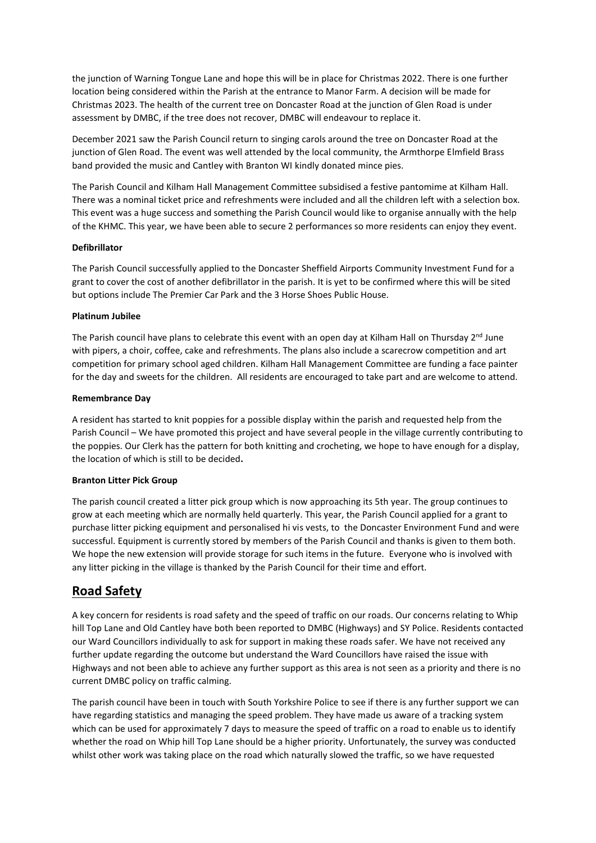the junction of Warning Tongue Lane and hope this will be in place for Christmas 2022. There is one further location being considered within the Parish at the entrance to Manor Farm. A decision will be made for Christmas 2023. The health of the current tree on Doncaster Road at the junction of Glen Road is under assessment by DMBC, if the tree does not recover, DMBC will endeavour to replace it.

December 2021 saw the Parish Council return to singing carols around the tree on Doncaster Road at the junction of Glen Road. The event was well attended by the local community, the Armthorpe Elmfield Brass band provided the music and Cantley with Branton WI kindly donated mince pies.

The Parish Council and Kilham Hall Management Committee subsidised a festive pantomime at Kilham Hall. There was a nominal ticket price and refreshments were included and all the children left with a selection box. This event was a huge success and something the Parish Council would like to organise annually with the help of the KHMC. This year, we have been able to secure 2 performances so more residents can enjoy they event.

#### **Defibrillator**

The Parish Council successfully applied to the Doncaster Sheffield Airports Community Investment Fund for a grant to cover the cost of another defibrillator in the parish. It is yet to be confirmed where this will be sited but options include The Premier Car Park and the 3 Horse Shoes Public House.

#### **Platinum Jubilee**

The Parish council have plans to celebrate this event with an open day at Kilham Hall on Thursday 2<sup>nd</sup> June with pipers, a choir, coffee, cake and refreshments. The plans also include a scarecrow competition and art competition for primary school aged children. Kilham Hall Management Committee are funding a face painter for the day and sweets for the children. All residents are encouraged to take part and are welcome to attend.

### **Remembrance Day**

A resident has started to knit poppies for a possible display within the parish and requested help from the Parish Council – We have promoted this project and have several people in the village currently contributing to the poppies. Our Clerk has the pattern for both knitting and crocheting, we hope to have enough for a display, the location of which is still to be decided**.**

### **Branton Litter Pick Group**

The parish council created a litter pick group which is now approaching its 5th year. The group continues to grow at each meeting which are normally held quarterly. This year, the Parish Council applied for a grant to purchase litter picking equipment and personalised hi vis vests, to the Doncaster Environment Fund and were successful. Equipment is currently stored by members of the Parish Council and thanks is given to them both. We hope the new extension will provide storage for such items in the future. Everyone who is involved with any litter picking in the village is thanked by the Parish Council for their time and effort.

### **Road Safety**

A key concern for residents is road safety and the speed of traffic on our roads. Our concerns relating to Whip hill Top Lane and Old Cantley have both been reported to DMBC (Highways) and SY Police. Residents contacted our Ward Councillors individually to ask for support in making these roads safer. We have not received any further update regarding the outcome but understand the Ward Councillors have raised the issue with Highways and not been able to achieve any further support as this area is not seen as a priority and there is no current DMBC policy on traffic calming.

The parish council have been in touch with South Yorkshire Police to see if there is any further support we can have regarding statistics and managing the speed problem. They have made us aware of a tracking system which can be used for approximately 7 days to measure the speed of traffic on a road to enable us to identify whether the road on Whip hill Top Lane should be a higher priority. Unfortunately, the survey was conducted whilst other work was taking place on the road which naturally slowed the traffic, so we have requested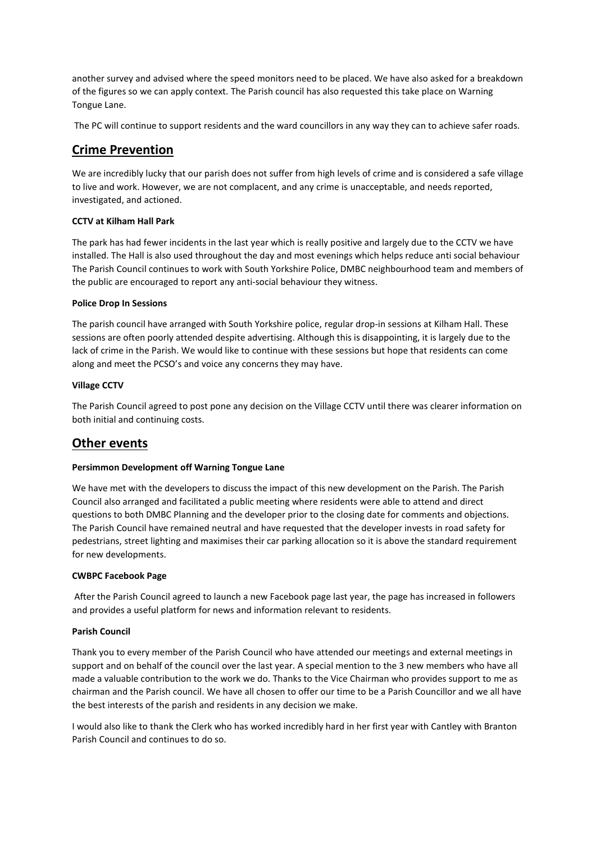another survey and advised where the speed monitors need to be placed. We have also asked for a breakdown of the figures so we can apply context. The Parish council has also requested this take place on Warning Tongue Lane.

The PC will continue to support residents and the ward councillors in any way they can to achieve safer roads.

### **Crime Prevention**

We are incredibly lucky that our parish does not suffer from high levels of crime and is considered a safe village to live and work. However, we are not complacent, and any crime is unacceptable, and needs reported, investigated, and actioned.

### **CCTV at Kilham Hall Park**

The park has had fewer incidents in the last year which is really positive and largely due to the CCTV we have installed. The Hall is also used throughout the day and most evenings which helps reduce anti social behaviour The Parish Council continues to work with South Yorkshire Police, DMBC neighbourhood team and members of the public are encouraged to report any anti-social behaviour they witness.

### **Police Drop In Sessions**

The parish council have arranged with South Yorkshire police, regular drop-in sessions at Kilham Hall. These sessions are often poorly attended despite advertising. Although this is disappointing, it is largely due to the lack of crime in the Parish. We would like to continue with these sessions but hope that residents can come along and meet the PCSO's and voice any concerns they may have.

### **Village CCTV**

The Parish Council agreed to post pone any decision on the Village CCTV until there was clearer information on both initial and continuing costs.

### **Other events**

### **Persimmon Development off Warning Tongue Lane**

We have met with the developers to discuss the impact of this new development on the Parish. The Parish Council also arranged and facilitated a public meeting where residents were able to attend and direct questions to both DMBC Planning and the developer prior to the closing date for comments and objections. The Parish Council have remained neutral and have requested that the developer invests in road safety for pedestrians, street lighting and maximises their car parking allocation so it is above the standard requirement for new developments.

#### **CWBPC Facebook Page**

After the Parish Council agreed to launch a new Facebook page last year, the page has increased in followers and provides a useful platform for news and information relevant to residents.

#### **Parish Council**

Thank you to every member of the Parish Council who have attended our meetings and external meetings in support and on behalf of the council over the last year. A special mention to the 3 new members who have all made a valuable contribution to the work we do. Thanks to the Vice Chairman who provides support to me as chairman and the Parish council. We have all chosen to offer our time to be a Parish Councillor and we all have the best interests of the parish and residents in any decision we make.

I would also like to thank the Clerk who has worked incredibly hard in her first year with Cantley with Branton Parish Council and continues to do so.